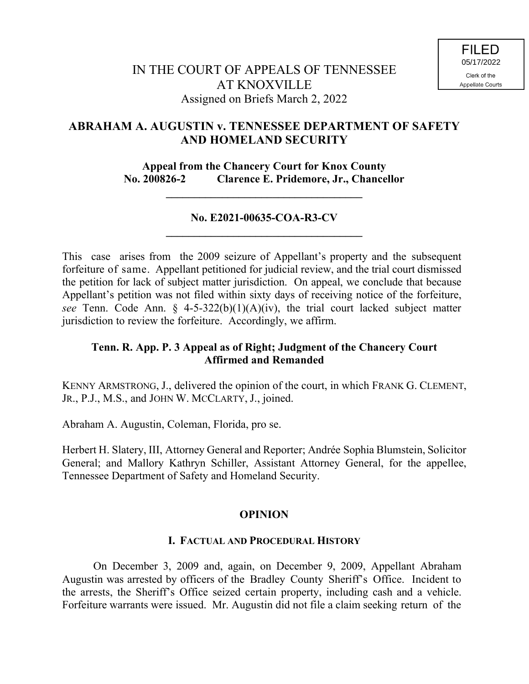# **ABRAHAM A. AUGUSTIN v. TENNESSEE DEPARTMENT OF SAFETY AND HOMELAND SECURITY**

**Appeal from the Chancery Court for Knox County No. 200826-2 Clarence E. Pridemore, Jr., Chancellor**

**\_\_\_\_\_\_\_\_\_\_\_\_\_\_\_\_\_\_\_\_\_\_\_\_\_\_\_\_\_\_\_\_\_\_\_**

# **No. E2021-00635-COA-R3-CV \_\_\_\_\_\_\_\_\_\_\_\_\_\_\_\_\_\_\_\_\_\_\_\_\_\_\_\_\_\_\_\_\_\_\_**

This case arises from the 2009 seizure of Appellant's property and the subsequent forfeiture of same. Appellant petitioned for judicial review, and the trial court dismissed the petition for lack of subject matter jurisdiction. On appeal, we conclude that because Appellant's petition was not filed within sixty days of receiving notice of the forfeiture, *see* Tenn. Code Ann. § 4-5-322(b)(1)(A)(iv), the trial court lacked subject matter jurisdiction to review the forfeiture. Accordingly, we affirm.

### **Tenn. R. App. P. 3 Appeal as of Right; Judgment of the Chancery Court Affirmed and Remanded**

KENNY ARMSTRONG, J., delivered the opinion of the court, in which FRANK G. CLEMENT, JR., P.J., M.S., and JOHN W. MCCLARTY, J., joined.

Abraham A. Augustin, Coleman, Florida, pro se.

Herbert H. Slatery, III, Attorney General and Reporter; Andrée Sophia Blumstein, Solicitor General; and Mallory Kathryn Schiller, Assistant Attorney General, for the appellee, Tennessee Department of Safety and Homeland Security.

#### **OPINION**

#### **I. FACTUAL AND PROCEDURAL HISTORY**

On December 3, 2009 and, again, on December 9, 2009, Appellant Abraham Augustin was arrested by officers of the Bradley County Sheriff's Office. Incident to the arrests, the Sheriff's Office seized certain property, including cash and a vehicle. Forfeiture warrants were issued. Mr. Augustin did not file a claim seeking return of the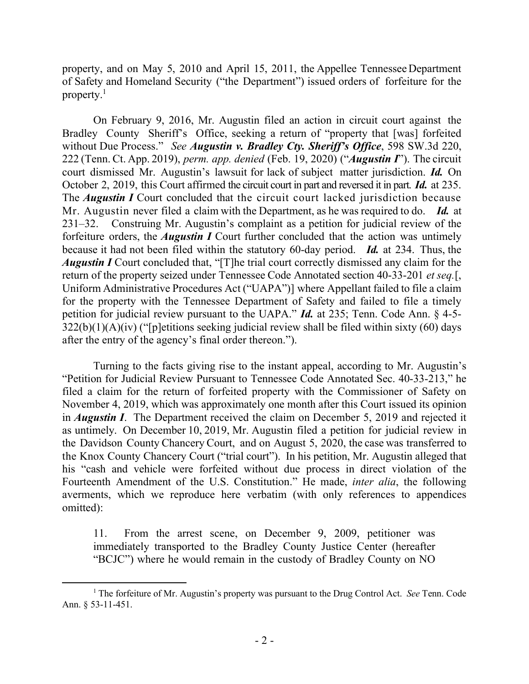property, and on May 5, 2010 and April 15, 2011, the Appellee Tennessee Department of Safety and Homeland Security ("the Department") issued orders of forfeiture for the property. $<sup>1</sup>$ </sup>

On February 9, 2016, Mr. Augustin filed an action in circuit court against the Bradley County Sheriff's Office, seeking a return of "property that [was] forfeited without Due Process." *See Augustin v. Bradley Cty. Sheriff's Office*, 598 SW.3d 220, 222 (Tenn. Ct. App. 2019), *perm. app. denied* (Feb. 19, 2020) ("*Augustin I*"). The circuit court dismissed Mr. Augustin's lawsuit for lack of subject matter jurisdiction. *Id.* On October 2, 2019, this Court affirmed the circuit court in part and reversed it in part. *Id.* at 235. The *Augustin I* Court concluded that the circuit court lacked jurisdiction because Mr. Augustin never filed a claim with the Department, as he was required to do. *Id.* at 231–32. Construing Mr. Augustin's complaint as a petition for judicial review of the forfeiture orders, the *Augustin I* Court further concluded that the action was untimely because it had not been filed within the statutory 60-day period. *Id.* at 234. Thus, the *Augustin I* Court concluded that, "[T]he trial court correctly dismissed any claim for the return of the property seized under Tennessee Code Annotated section 40-33-201 *et seq.*[, Uniform Administrative Procedures Act ("UAPA")] where Appellant failed to file a claim for the property with the Tennessee Department of Safety and failed to file a timely petition for judicial review pursuant to the UAPA." *Id.* at 235; Tenn. Code Ann. § 4-5-  $322(b)(1)(A)(iv)$  ("[p]etitions seeking judicial review shall be filed within sixty (60) days after the entry of the agency's final order thereon.").

Turning to the facts giving rise to the instant appeal, according to Mr. Augustin's "Petition for Judicial Review Pursuant to Tennessee Code Annotated Sec. 40-33-213," he filed a claim for the return of forfeited property with the Commissioner of Safety on November 4, 2019, which was approximately one month after this Court issued its opinion in *Augustin I*. The Department received the claim on December 5, 2019 and rejected it as untimely. On December 10, 2019, Mr. Augustin filed a petition for judicial review in the Davidson County Chancery Court, and on August 5, 2020, the case was transferred to the Knox County Chancery Court ("trial court"). In his petition, Mr. Augustin alleged that his "cash and vehicle were forfeited without due process in direct violation of the Fourteenth Amendment of the U.S. Constitution." He made, *inter alia*, the following averments, which we reproduce here verbatim (with only references to appendices omitted):

11. From the arrest scene, on December 9, 2009, petitioner was immediately transported to the Bradley County Justice Center (hereafter "BCJC") where he would remain in the custody of Bradley County on NO

<sup>1</sup> The forfeiture of Mr. Augustin's property was pursuant to the Drug Control Act. *See* Tenn. Code Ann. § 53-11-451.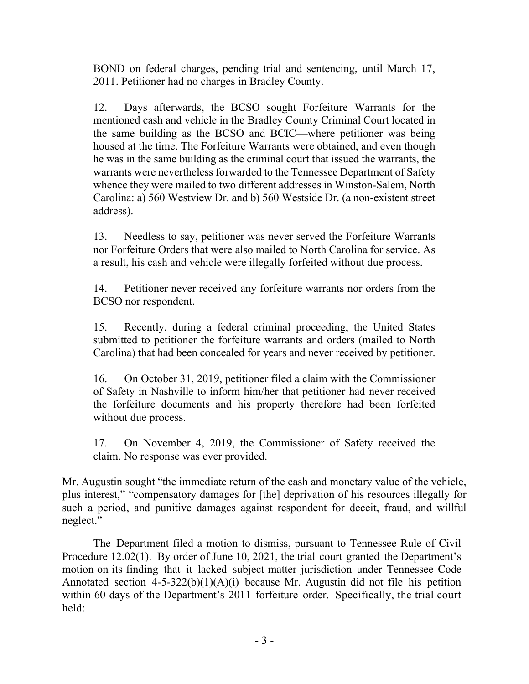BOND on federal charges, pending trial and sentencing, until March 17, 2011. Petitioner had no charges in Bradley County.

12. Days afterwards, the BCSO sought Forfeiture Warrants for the mentioned cash and vehicle in the Bradley County Criminal Court located in the same building as the BCSO and BCIC—where petitioner was being housed at the time. The Forfeiture Warrants were obtained, and even though he was in the same building as the criminal court that issued the warrants, the warrants were nevertheless forwarded to the Tennessee Department of Safety whence they were mailed to two different addresses in Winston-Salem, North Carolina: a) 560 Westview Dr. and b) 560 Westside Dr. (a non-existent street address).

13. Needless to say, petitioner was never served the Forfeiture Warrants nor Forfeiture Orders that were also mailed to North Carolina for service. As a result, his cash and vehicle were illegally forfeited without due process.

14. Petitioner never received any forfeiture warrants nor orders from the BCSO nor respondent.

15. Recently, during a federal criminal proceeding, the United States submitted to petitioner the forfeiture warrants and orders (mailed to North Carolina) that had been concealed for years and never received by petitioner.

16. On October 31, 2019, petitioner filed a claim with the Commissioner of Safety in Nashville to inform him/her that petitioner had never received the forfeiture documents and his property therefore had been forfeited without due process.

17. On November 4, 2019, the Commissioner of Safety received the claim. No response was ever provided.

Mr. Augustin sought "the immediate return of the cash and monetary value of the vehicle, plus interest," "compensatory damages for [the] deprivation of his resources illegally for such a period, and punitive damages against respondent for deceit, fraud, and willful neglect."

The Department filed a motion to dismiss, pursuant to Tennessee Rule of Civil Procedure 12.02(1). By order of June 10, 2021, the trial court granted the Department's motion on its finding that it lacked subject matter jurisdiction under Tennessee Code Annotated section  $4-5-322(b)(1)(A)(i)$  because Mr. Augustin did not file his petition within 60 days of the Department's 2011 forfeiture order. Specifically, the trial court held: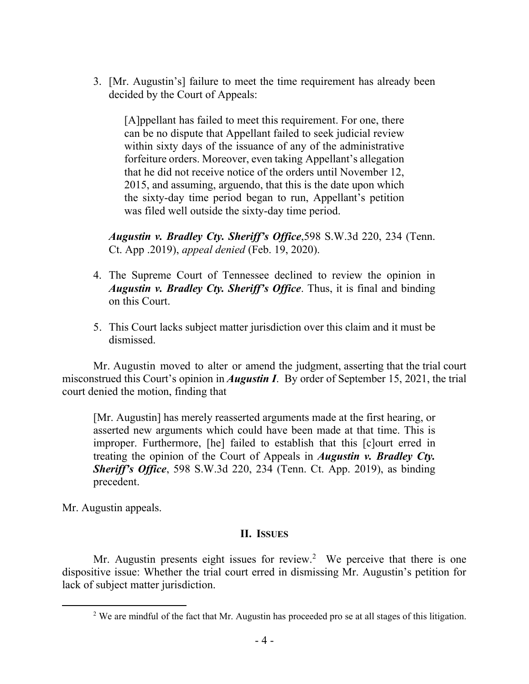3. [Mr. Augustin's] failure to meet the time requirement has already been decided by the Court of Appeals:

[A]ppellant has failed to meet this requirement. For one, there can be no dispute that Appellant failed to seek judicial review within sixty days of the issuance of any of the administrative forfeiture orders. Moreover, even taking Appellant's allegation that he did not receive notice of the orders until November 12, 2015, and assuming, arguendo, that this is the date upon which the sixty-day time period began to run, Appellant's petition was filed well outside the sixty-day time period.

*Augustin v. Bradley Cty. Sheriff's Office*,598 S.W.3d 220, 234 (Tenn. Ct. App .2019), *appeal denied* (Feb. 19, 2020).

- 4. The Supreme Court of Tennessee declined to review the opinion in *Augustin v. Bradley Cty. Sheriff's Office*. Thus, it is final and binding on this Court.
- 5. This Court lacks subject matter jurisdiction over this claim and it must be dismissed.

Mr. Augustin moved to alter or amend the judgment, asserting that the trial court misconstrued this Court's opinion in *Augustin I*. By order of September 15, 2021, the trial court denied the motion, finding that

[Mr. Augustin] has merely reasserted arguments made at the first hearing, or asserted new arguments which could have been made at that time. This is improper. Furthermore, [he] failed to establish that this [c]ourt erred in treating the opinion of the Court of Appeals in *Augustin v. Bradley Cty. Sheriff's Office*, 598 S.W.3d 220, 234 (Tenn. Ct. App. 2019), as binding precedent.

Mr. Augustin appeals.

 $\overline{a}$ 

#### **II. ISSUES**

Mr. Augustin presents eight issues for review.<sup>2</sup> We perceive that there is one dispositive issue: Whether the trial court erred in dismissing Mr. Augustin's petition for lack of subject matter jurisdiction.

<sup>&</sup>lt;sup>2</sup> We are mindful of the fact that Mr. Augustin has proceeded pro se at all stages of this litigation.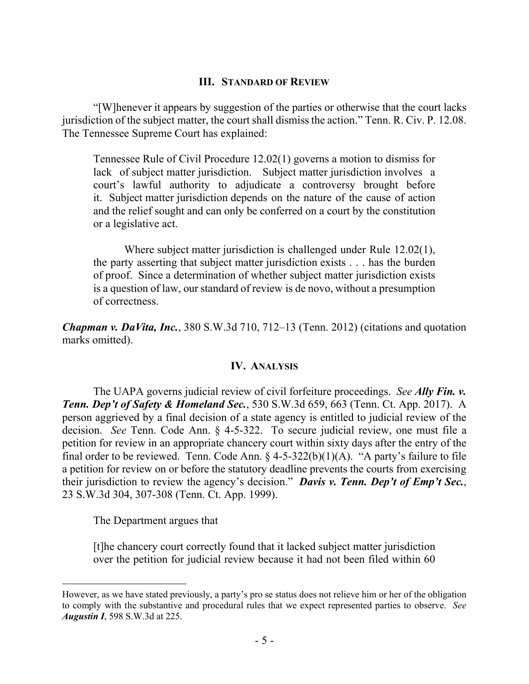### **III. STANDARD OF REVIEW**

"[W]henever it appears by suggestion of the parties or otherwise that the court lacks jurisdiction of the subject matter, the court shall dismiss the action." Tenn. R. Civ. P. 12.08. The Tennessee Supreme Court has explained:

Tennessee Rule of Civil Procedure 12.02(1) governs a motion to dismiss for lack of subject matter jurisdiction. Subject matter jurisdiction involves a court's lawful authority to adjudicate a controversy brought before it. Subject matter jurisdiction depends on the nature of the cause of action and the relief sought and can only be conferred on a court by the constitution or a legislative act.

Where subject matter jurisdiction is challenged under Rule 12.02(1), the party asserting that subject matter jurisdiction exists . . . has the burden of proof. Since a determination of whether subject matter jurisdiction exists is a question of law, our standard of review is de novo, without a presumption of correctness.

*Chapman v. DaVita, Inc.*, 380 S.W.3d 710, 712–13 (Tenn. 2012) (citations and quotation marks omitted).

# **IV. ANALYSIS**

The UAPA governs judicial review of civil forfeiture proceedings. *See Ally Fin. v. Tenn. Dep't of Safety & Homeland Sec.*, 530 S.W.3d 659, 663 (Tenn. Ct. App. 2017). A person aggrieved by a final decision of a state agency is entitled to judicial review of the decision. *See* Tenn. Code Ann. § 4-5-322. To secure judicial review, one must file a petition for review in an appropriate chancery court within sixty days after the entry of the final order to be reviewed. Tenn. Code Ann.  $\S$  4-5-322(b)(1)(A). "A party's failure to file a petition for review on or before the statutory deadline prevents the courts from exercising their jurisdiction to review the agency's decision." *Davis v. Tenn. Dep't of Emp't Sec.*, 23 S.W.3d 304, 307-308 (Tenn. Ct. App. 1999).

The Department argues that

 $\overline{a}$ 

[t]he chancery court correctly found that it lacked subject matter jurisdiction over the petition for judicial review because it had not been filed within 60

However, as we have stated previously, a party's pro se status does not relieve him or her of the obligation to comply with the substantive and procedural rules that we expect represented parties to observe. *See Augustin I*, 598 S.W.3d at 225.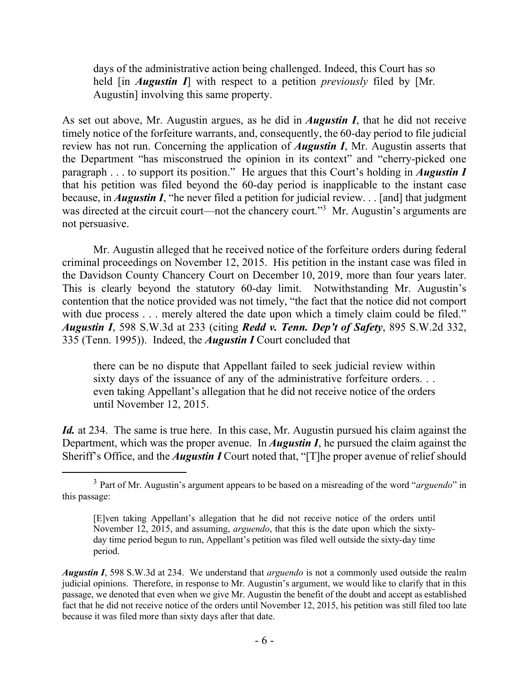days of the administrative action being challenged. Indeed, this Court has so held [in *Augustin I*] with respect to a petition *previously* filed by [Mr. Augustin] involving this same property.

As set out above, Mr. Augustin argues, as he did in *Augustin I*, that he did not receive timely notice of the forfeiture warrants, and, consequently, the 60-day period to file judicial review has not run. Concerning the application of *Augustin I*, Mr. Augustin asserts that the Department "has misconstrued the opinion in its context" and "cherry-picked one paragraph . . . to support its position." He argues that this Court's holding in *Augustin I* that his petition was filed beyond the 60-day period is inapplicable to the instant case because, in *Augustin I*, "he never filed a petition for judicial review. . . [and] that judgment was directed at the circuit court—not the chancery court."<sup>3</sup> Mr. Augustin's arguments are not persuasive.

Mr. Augustin alleged that he received notice of the forfeiture orders during federal criminal proceedings on November 12, 2015. His petition in the instant case was filed in the Davidson County Chancery Court on December 10, 2019, more than four years later. This is clearly beyond the statutory 60-day limit. Notwithstanding Mr. Augustin's contention that the notice provided was not timely, "the fact that the notice did not comport with due process . . . merely altered the date upon which a timely claim could be filed." *Augustin I*, 598 S.W.3d at 233 (citing *Redd v. Tenn. Dep't of Safety*, 895 S.W.2d 332, 335 (Tenn. 1995)). Indeed, the *Augustin I* Court concluded that

there can be no dispute that Appellant failed to seek judicial review within sixty days of the issuance of any of the administrative forfeiture orders. . . even taking Appellant's allegation that he did not receive notice of the orders until November 12, 2015.

*Id.* at 234. The same is true here. In this case, Mr. Augustin pursued his claim against the Department, which was the proper avenue. In *Augustin I*, he pursued the claim against the Sheriff's Office, and the *Augustin I* Court noted that, "[T]he proper avenue of relief should

 $\overline{a}$ 

<sup>3</sup> Part of Mr. Augustin's argument appears to be based on a misreading of the word "*arguendo*" in this passage:

<sup>[</sup>E]ven taking Appellant's allegation that he did not receive notice of the orders until November 12, 2015, and assuming, *arguendo*, that this is the date upon which the sixtyday time period begun to run, Appellant's petition was filed well outside the sixty-day time period.

*Augustin I*, 598 S.W.3d at 234. We understand that *arguendo* is not a commonly used outside the realm judicial opinions. Therefore, in response to Mr. Augustin's argument, we would like to clarify that in this passage, we denoted that even when we give Mr. Augustin the benefit of the doubt and accept as established fact that he did not receive notice of the orders until November 12, 2015, his petition was still filed too late because it was filed more than sixty days after that date.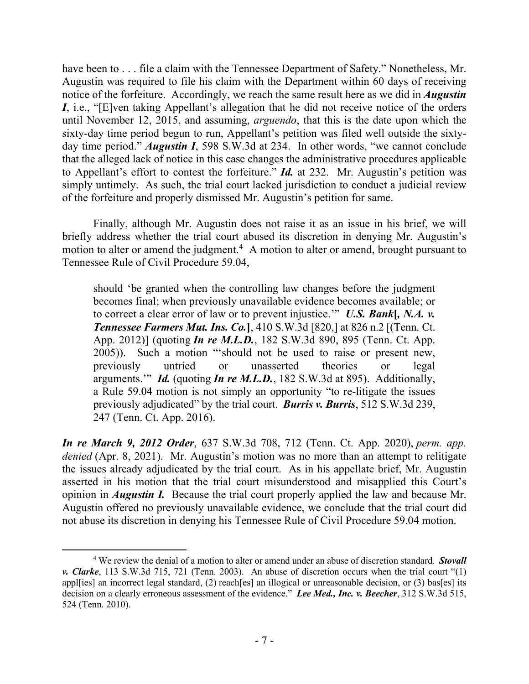have been to . . . file a claim with the Tennessee Department of Safety." Nonetheless, Mr. Augustin was required to file his claim with the Department within 60 days of receiving notice of the forfeiture. Accordingly, we reach the same result here as we did in *Augustin I*, i.e., "[E]ven taking Appellant's allegation that he did not receive notice of the orders until November 12, 2015, and assuming, *arguendo*, that this is the date upon which the sixty-day time period begun to run, Appellant's petition was filed well outside the sixtyday time period." *Augustin I*, 598 S.W.3d at 234. In other words, "we cannot conclude that the alleged lack of notice in this case changes the administrative procedures applicable to Appellant's effort to contest the forfeiture." *Id.* at 232. Mr. Augustin's petition was simply untimely. As such, the trial court lacked jurisdiction to conduct a judicial review of the forfeiture and properly dismissed Mr. Augustin's petition for same.

Finally, although Mr. Augustin does not raise it as an issue in his brief, we will briefly address whether the trial court abused its discretion in denying Mr. Augustin's motion to alter or amend the judgment.<sup>4</sup> A motion to alter or amend, brought pursuant to Tennessee Rule of Civil Procedure 59.04,

should 'be granted when the controlling law changes before the judgment becomes final; when previously unavailable evidence becomes available; or to correct a clear error of law or to prevent injustice.'" *U.S. Bank***[***, N.A. v. Tennessee Farmers Mut. Ins. Co.***]**, 410 S.W.3d [820,] at 826 n.2 [(Tenn. Ct. App. 2012)] (quoting *In re M.L.D.*, 182 S.W.3d 890, 895 (Tenn. Ct. App. 2005)). Such a motion "'should not be used to raise or present new, previously untried or unasserted theories or legal arguments.'" *Id.* (quoting *In re M.L.D.*, 182 S.W.3d at 895). Additionally, a Rule 59.04 motion is not simply an opportunity "to re-litigate the issues previously adjudicated" by the trial court. *Burris v. Burris*, 512 S.W.3d 239, 247 (Tenn. Ct. App. 2016).

*In re March 9, 2012 Order*, 637 S.W.3d 708, 712 (Tenn. Ct. App. 2020), *perm. app. denied* (Apr. 8, 2021). Mr. Augustin's motion was no more than an attempt to relitigate the issues already adjudicated by the trial court. As in his appellate brief, Mr. Augustin asserted in his motion that the trial court misunderstood and misapplied this Court's opinion in *Augustin I.* Because the trial court properly applied the law and because Mr. Augustin offered no previously unavailable evidence, we conclude that the trial court did not abuse its discretion in denying his Tennessee Rule of Civil Procedure 59.04 motion.

 $\overline{a}$ 

<sup>4</sup> We review the denial of a motion to alter or amend under an abuse of discretion standard. *Stovall v. Clarke*, 113 S.W.3d 715, 721 (Tenn. 2003). An abuse of discretion occurs when the trial court "(1) appl[ies] an incorrect legal standard, (2) reach[es] an illogical or unreasonable decision, or (3) bas[es] its decision on a clearly erroneous assessment of the evidence." *Lee Med., Inc. v. Beecher*, 312 S.W.3d 515, 524 (Tenn. 2010).